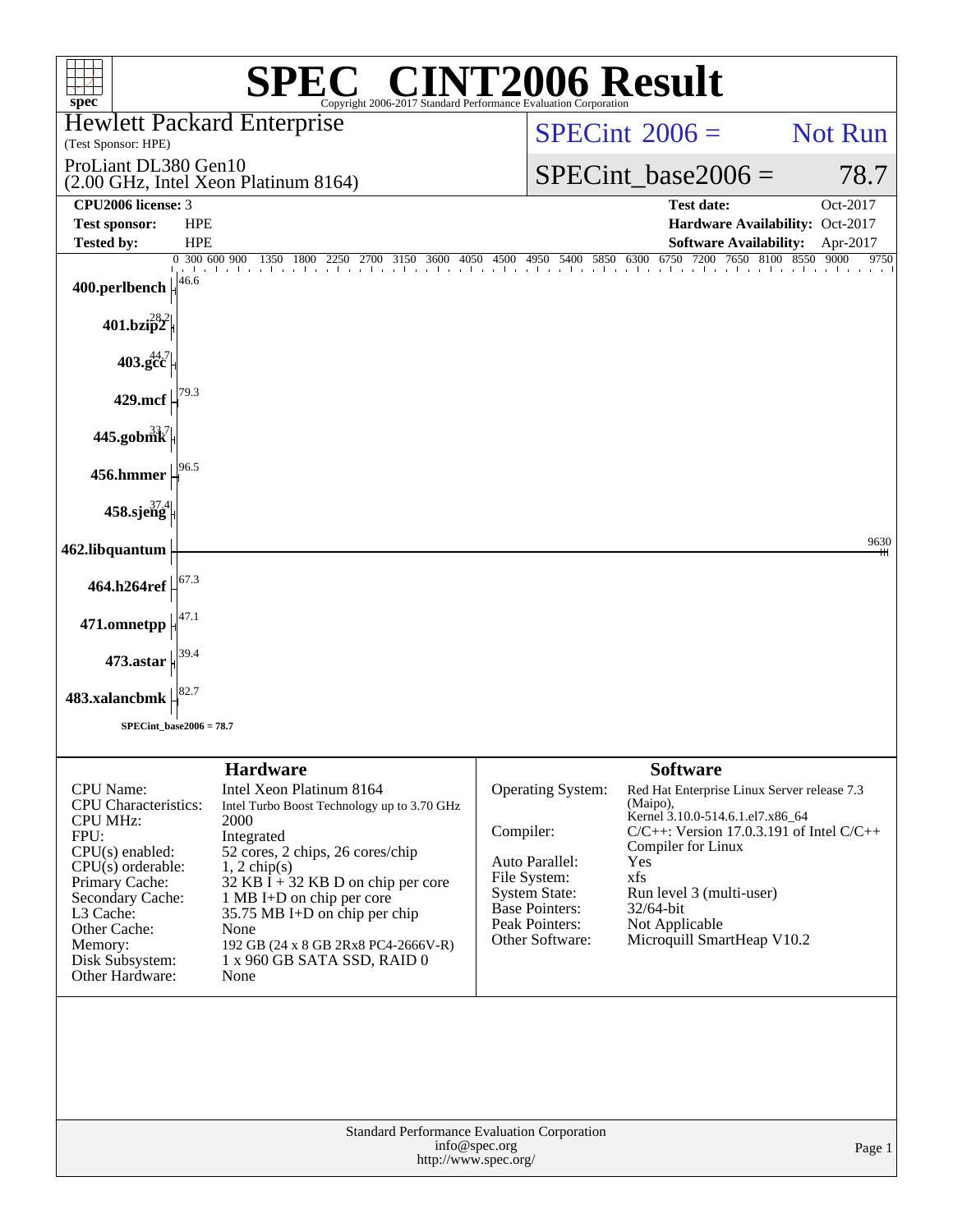| $spec^*$<br>Copyright 2006-2017 Standard Performance Evaluation Corporation                                                                                                                                                                                                                                                                                                                                                                                                                                                                                                                                      | <b>SPEC<sup>®</sup> CINT2006 Result</b>                                                                                                                                                                                                                                                                                                                                                                                                         |
|------------------------------------------------------------------------------------------------------------------------------------------------------------------------------------------------------------------------------------------------------------------------------------------------------------------------------------------------------------------------------------------------------------------------------------------------------------------------------------------------------------------------------------------------------------------------------------------------------------------|-------------------------------------------------------------------------------------------------------------------------------------------------------------------------------------------------------------------------------------------------------------------------------------------------------------------------------------------------------------------------------------------------------------------------------------------------|
| <b>Hewlett Packard Enterprise</b><br>(Test Sponsor: HPE)                                                                                                                                                                                                                                                                                                                                                                                                                                                                                                                                                         | $SPECint^{\circ}2006=$<br>Not Run                                                                                                                                                                                                                                                                                                                                                                                                               |
| ProLiant DL380 Gen10                                                                                                                                                                                                                                                                                                                                                                                                                                                                                                                                                                                             | $SPECint base2006 =$<br>78.7                                                                                                                                                                                                                                                                                                                                                                                                                    |
| (2.00 GHz, Intel Xeon Platinum 8164)<br>CPU2006 license: 3                                                                                                                                                                                                                                                                                                                                                                                                                                                                                                                                                       | <b>Test date:</b><br>Oct-2017                                                                                                                                                                                                                                                                                                                                                                                                                   |
| <b>Test sponsor:</b><br><b>HPE</b>                                                                                                                                                                                                                                                                                                                                                                                                                                                                                                                                                                               | Hardware Availability: Oct-2017                                                                                                                                                                                                                                                                                                                                                                                                                 |
| <b>HPE</b><br><b>Tested by:</b><br>0 300 600 900<br>300 600 900 1350 1800 2250 2700 3150 3600 4050 4500 4950 5400 5850 6300 6750 7200                                                                                                                                                                                                                                                                                                                                                                                                                                                                            | <b>Software Availability:</b><br>Apr-2017<br>7200 7650 8100 8550<br>9000<br>9750                                                                                                                                                                                                                                                                                                                                                                |
| 46.6<br>400.perlbench                                                                                                                                                                                                                                                                                                                                                                                                                                                                                                                                                                                            |                                                                                                                                                                                                                                                                                                                                                                                                                                                 |
| $401$ .bzi $\hat{p}^2$                                                                                                                                                                                                                                                                                                                                                                                                                                                                                                                                                                                           |                                                                                                                                                                                                                                                                                                                                                                                                                                                 |
| $403.\mathrm{gcc}^{44.7}$                                                                                                                                                                                                                                                                                                                                                                                                                                                                                                                                                                                        |                                                                                                                                                                                                                                                                                                                                                                                                                                                 |
| 429.mcf                                                                                                                                                                                                                                                                                                                                                                                                                                                                                                                                                                                                          |                                                                                                                                                                                                                                                                                                                                                                                                                                                 |
| $445$ .gobm $\overrightarrow{k}$                                                                                                                                                                                                                                                                                                                                                                                                                                                                                                                                                                                 |                                                                                                                                                                                                                                                                                                                                                                                                                                                 |
| 456.hmmer                                                                                                                                                                                                                                                                                                                                                                                                                                                                                                                                                                                                        |                                                                                                                                                                                                                                                                                                                                                                                                                                                 |
| 458.sjeng                                                                                                                                                                                                                                                                                                                                                                                                                                                                                                                                                                                                        |                                                                                                                                                                                                                                                                                                                                                                                                                                                 |
| 462.libquantum                                                                                                                                                                                                                                                                                                                                                                                                                                                                                                                                                                                                   | 9630                                                                                                                                                                                                                                                                                                                                                                                                                                            |
| 464.h264ref                                                                                                                                                                                                                                                                                                                                                                                                                                                                                                                                                                                                      |                                                                                                                                                                                                                                                                                                                                                                                                                                                 |
| 471.omnetpp                                                                                                                                                                                                                                                                                                                                                                                                                                                                                                                                                                                                      |                                                                                                                                                                                                                                                                                                                                                                                                                                                 |
| $473.$ astar                                                                                                                                                                                                                                                                                                                                                                                                                                                                                                                                                                                                     |                                                                                                                                                                                                                                                                                                                                                                                                                                                 |
| 483.xalancbmk                                                                                                                                                                                                                                                                                                                                                                                                                                                                                                                                                                                                    |                                                                                                                                                                                                                                                                                                                                                                                                                                                 |
| SPECint base2006 = $78.7$                                                                                                                                                                                                                                                                                                                                                                                                                                                                                                                                                                                        |                                                                                                                                                                                                                                                                                                                                                                                                                                                 |
|                                                                                                                                                                                                                                                                                                                                                                                                                                                                                                                                                                                                                  |                                                                                                                                                                                                                                                                                                                                                                                                                                                 |
| <b>Hardware</b><br>Intel Xeon Platinum 8164<br><b>CPU</b> Name:<br><b>CPU</b> Characteristics:<br>Intel Turbo Boost Technology up to 3.70 GHz<br><b>CPU MHz:</b><br>2000<br>FPU:<br>Integrated<br>$CPU(s)$ enabled:<br>52 cores, 2 chips, 26 cores/chip<br>$CPU(s)$ orderable:<br>$1, 2$ chip(s)<br>Primary Cache:<br>$32$ KB I + 32 KB D on chip per core<br>Secondary Cache:<br>1 MB I+D on chip per core<br>L3 Cache:<br>35.75 MB I+D on chip per chip<br>None<br>Other Cache:<br>Memory:<br>192 GB (24 x 8 GB 2Rx8 PC4-2666V-R)<br>Disk Subsystem:<br>1 x 960 GB SATA SSD, RAID 0<br>Other Hardware:<br>None | <b>Software</b><br>Operating System:<br>Red Hat Enterprise Linux Server release 7.3<br>(Maipo),<br>Kernel 3.10.0-514.6.1.el7.x86_64<br>Compiler:<br>$C/C++$ : Version 17.0.3.191 of Intel $C/C++$<br>Compiler for Linux<br>Auto Parallel:<br>Yes<br>File System:<br>xfs<br><b>System State:</b><br>Run level 3 (multi-user)<br>Base Pointers:<br>32/64-bit<br>Peak Pointers:<br>Not Applicable<br>Other Software:<br>Microquill SmartHeap V10.2 |
|                                                                                                                                                                                                                                                                                                                                                                                                                                                                                                                                                                                                                  | <b>Standard Performance Evaluation Corporation</b><br>info@spec.org<br>Page 1<br>http://www.spec.org/                                                                                                                                                                                                                                                                                                                                           |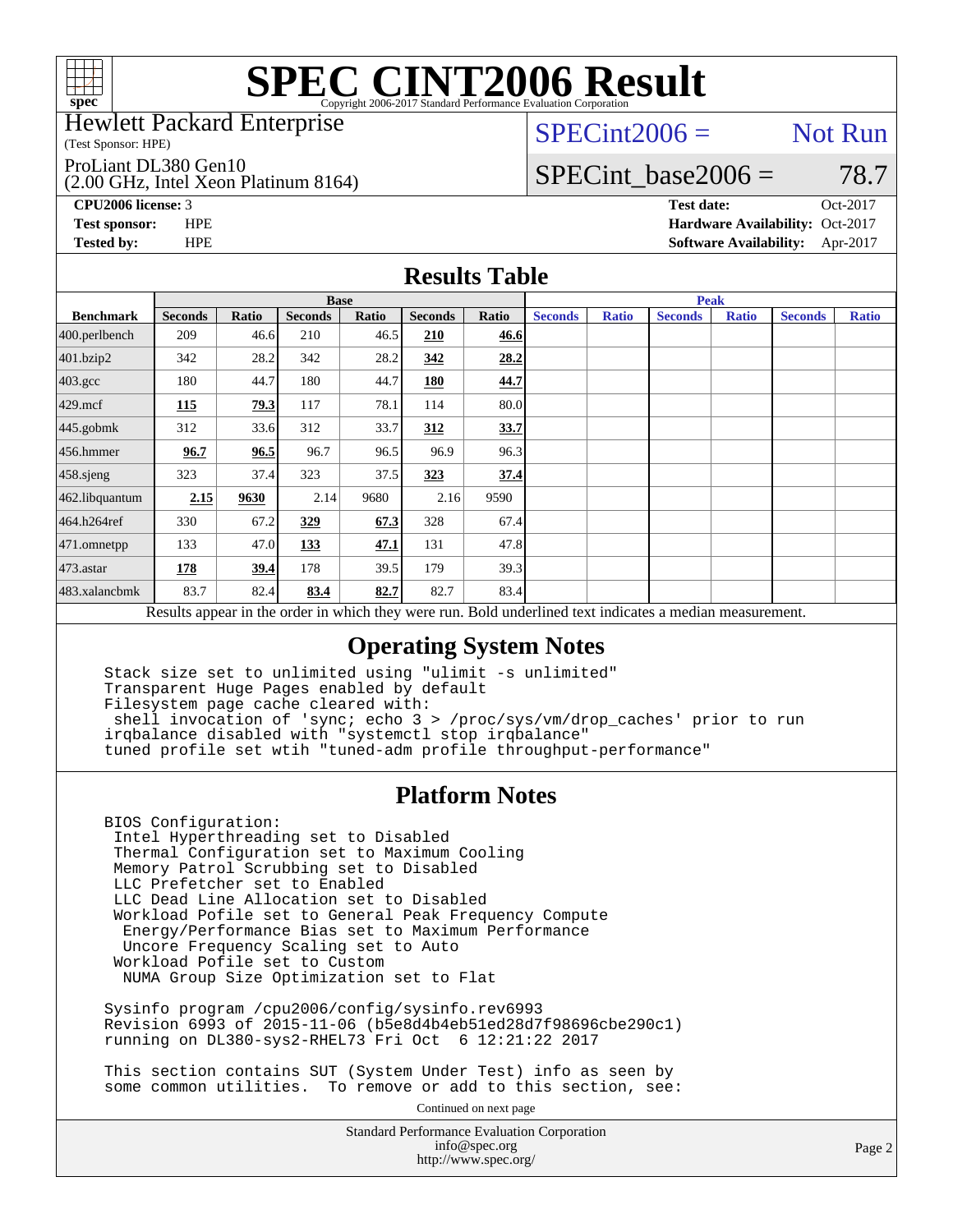

Hewlett Packard Enterprise

(Test Sponsor: HPE)

ProLiant DL380 Gen10

(2.00 GHz, Intel Xeon Platinum 8164)

 $SPECint2006 =$  Not Run

### SPECint base2006 =  $78.7$

**[CPU2006 license:](http://www.spec.org/auto/cpu2006/Docs/result-fields.html#CPU2006license)** 3 **[Test date:](http://www.spec.org/auto/cpu2006/Docs/result-fields.html#Testdate)** Oct-2017 **[Test sponsor:](http://www.spec.org/auto/cpu2006/Docs/result-fields.html#Testsponsor)** HPE **[Hardware Availability:](http://www.spec.org/auto/cpu2006/Docs/result-fields.html#HardwareAvailability)** Oct-2017 **[Tested by:](http://www.spec.org/auto/cpu2006/Docs/result-fields.html#Testedby)** HPE **[Software Availability:](http://www.spec.org/auto/cpu2006/Docs/result-fields.html#SoftwareAvailability)** Apr-2017

#### **[Results Table](http://www.spec.org/auto/cpu2006/Docs/result-fields.html#ResultsTable)**

|                                                                                                          | <b>Base</b>    |       |                |       |                |       |                | Peak         |                |              |                |              |  |
|----------------------------------------------------------------------------------------------------------|----------------|-------|----------------|-------|----------------|-------|----------------|--------------|----------------|--------------|----------------|--------------|--|
| <b>Benchmark</b>                                                                                         | <b>Seconds</b> | Ratio | <b>Seconds</b> | Ratio | <b>Seconds</b> | Ratio | <b>Seconds</b> | <b>Ratio</b> | <b>Seconds</b> | <b>Ratio</b> | <b>Seconds</b> | <b>Ratio</b> |  |
| 400.perlbench                                                                                            | 209            | 46.6  | 210            | 46.5  | 210            | 46.6  |                |              |                |              |                |              |  |
| 401.bzip2                                                                                                | 342            | 28.2  | 342            | 28.2  | 342            | 28.2  |                |              |                |              |                |              |  |
| $403.\mathrm{gcc}$                                                                                       | 180            | 44.7  | 180            | 44.7  | 180            | 44.7  |                |              |                |              |                |              |  |
| $429$ .mcf                                                                                               | <b>115</b>     | 79.3  | 117            | 78.1  | 114            | 80.0  |                |              |                |              |                |              |  |
| $445$ .gobmk                                                                                             | 312            | 33.6  | 312            | 33.7  | 312            | 33.7  |                |              |                |              |                |              |  |
| $456.$ hmmer                                                                                             | 96.7           | 96.5  | 96.7           | 96.5  | 96.9           | 96.3  |                |              |                |              |                |              |  |
| $458$ .sjeng                                                                                             | 323            | 37.4  | 323            | 37.5  | 323            | 37.4  |                |              |                |              |                |              |  |
| 462.libquantum                                                                                           | 2.15           | 9630  | 2.14           | 9680  | 2.16           | 9590  |                |              |                |              |                |              |  |
| 464.h264ref                                                                                              | 330            | 67.2  | 329            | 67.3  | 328            | 67.4  |                |              |                |              |                |              |  |
| 471.omnetpp                                                                                              | 133            | 47.0  | 133            | 47.1  | 131            | 47.8  |                |              |                |              |                |              |  |
| $473$ . astar                                                                                            | 178            | 39.4  | 178            | 39.5  | 179            | 39.3  |                |              |                |              |                |              |  |
| 483.xalancbmk                                                                                            | 83.7           | 82.4  | 83.4           | 82.7  | 82.7           | 83.4  |                |              |                |              |                |              |  |
| Results appear in the order in which they were run. Bold underlined text indicates a median measurement. |                |       |                |       |                |       |                |              |                |              |                |              |  |

### **[Operating System Notes](http://www.spec.org/auto/cpu2006/Docs/result-fields.html#OperatingSystemNotes)**

 Stack size set to unlimited using "ulimit -s unlimited" Transparent Huge Pages enabled by default Filesystem page cache cleared with: shell invocation of 'sync; echo 3 > /proc/sys/vm/drop\_caches' prior to run irqbalance disabled with "systemctl stop irqbalance" tuned profile set wtih "tuned-adm profile throughput-performance"

#### **[Platform Notes](http://www.spec.org/auto/cpu2006/Docs/result-fields.html#PlatformNotes)**

 BIOS Configuration: Intel Hyperthreading set to Disabled Thermal Configuration set to Maximum Cooling Memory Patrol Scrubbing set to Disabled LLC Prefetcher set to Enabled LLC Dead Line Allocation set to Disabled Workload Pofile set to General Peak Frequency Compute Energy/Performance Bias set to Maximum Performance Uncore Frequency Scaling set to Auto Workload Pofile set to Custom NUMA Group Size Optimization set to Flat

 Sysinfo program /cpu2006/config/sysinfo.rev6993 Revision 6993 of 2015-11-06 (b5e8d4b4eb51ed28d7f98696cbe290c1) running on DL380-sys2-RHEL73 Fri Oct 6 12:21:22 2017

 This section contains SUT (System Under Test) info as seen by some common utilities. To remove or add to this section, see:

Continued on next page

Standard Performance Evaluation Corporation [info@spec.org](mailto:info@spec.org) <http://www.spec.org/>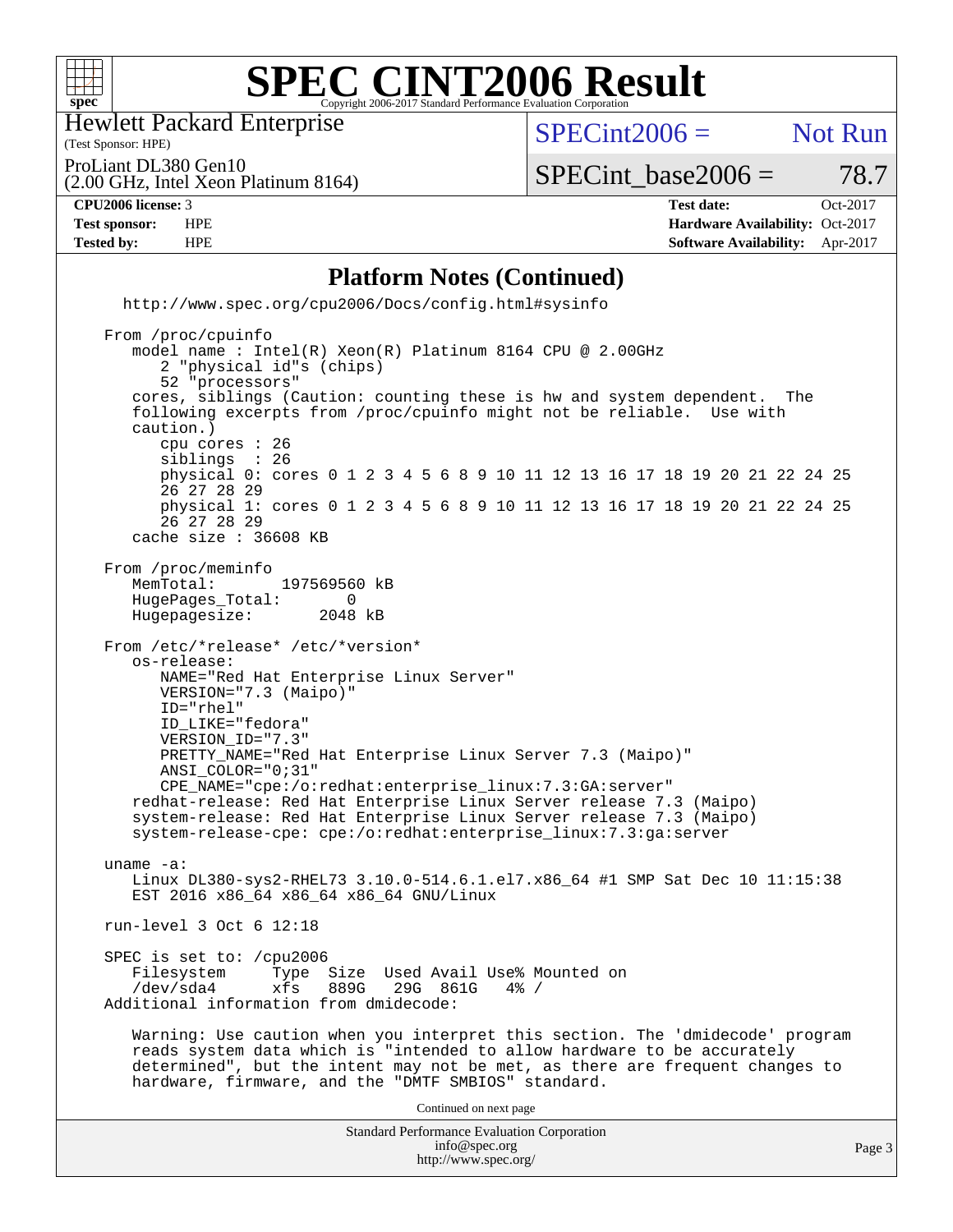

Hewlett Packard Enterprise

(2.00 GHz, Intel Xeon Platinum 8164)

(Test Sponsor: HPE)

 $SPECint2006 =$  Not Run

ProLiant DL380 Gen10

 $SPECTnt\_base2006 = 78.7$ 

**[CPU2006 license:](http://www.spec.org/auto/cpu2006/Docs/result-fields.html#CPU2006license)** 3 **[Test date:](http://www.spec.org/auto/cpu2006/Docs/result-fields.html#Testdate)** Oct-2017 **[Test sponsor:](http://www.spec.org/auto/cpu2006/Docs/result-fields.html#Testsponsor)** HPE **[Hardware Availability:](http://www.spec.org/auto/cpu2006/Docs/result-fields.html#HardwareAvailability)** Oct-2017 **[Tested by:](http://www.spec.org/auto/cpu2006/Docs/result-fields.html#Testedby)** HPE **[Software Availability:](http://www.spec.org/auto/cpu2006/Docs/result-fields.html#SoftwareAvailability)** Apr-2017

#### **[Platform Notes \(Continued\)](http://www.spec.org/auto/cpu2006/Docs/result-fields.html#PlatformNotes)**

Standard Performance Evaluation Corporation [info@spec.org](mailto:info@spec.org) <http://www.spec.org/cpu2006/Docs/config.html#sysinfo> From /proc/cpuinfo model name : Intel(R) Xeon(R) Platinum 8164 CPU @ 2.00GHz 2 "physical id"s (chips) 52 "processors" cores, siblings (Caution: counting these is hw and system dependent. The following excerpts from /proc/cpuinfo might not be reliable. Use with caution.) cpu cores : 26 siblings physical 0: cores 0 1 2 3 4 5 6 8 9 10 11 12 13 16 17 18 19 20 21 22 24 25 26 27 28 29 physical 1: cores 0 1 2 3 4 5 6 8 9 10 11 12 13 16 17 18 19 20 21 22 24 25 26 27 28 29 cache size : 36608 KB From /proc/meminfo MemTotal: 197569560 kB<br>HugePages Total: 0 HugePages\_Total: 0<br>Hugepagesize: 2048 kB Hugepagesize: From /etc/\*release\* /etc/\*version\* os-release: NAME="Red Hat Enterprise Linux Server" VERSION="7.3 (Maipo)" ID="rhel" ID\_LIKE="fedora" VERSION\_ID="7.3" PRETTY\_NAME="Red Hat Enterprise Linux Server 7.3 (Maipo)" ANSI\_COLOR="0;31" CPE\_NAME="cpe:/o:redhat:enterprise\_linux:7.3:GA:server" redhat-release: Red Hat Enterprise Linux Server release 7.3 (Maipo) system-release: Red Hat Enterprise Linux Server release 7.3 (Maipo) system-release-cpe: cpe:/o:redhat:enterprise\_linux:7.3:ga:server uname -a: Linux DL380-sys2-RHEL73 3.10.0-514.6.1.el7.x86\_64 #1 SMP Sat Dec 10 11:15:38 EST 2016 x86\_64 x86\_64 x86\_64 GNU/Linux run-level 3 Oct 6 12:18 SPEC is set to: /cpu2006<br>Filesystem Type Type Size Used Avail Use% Mounted on /dev/sda4 xfs 889G 29G 861G 4% / Additional information from dmidecode: Warning: Use caution when you interpret this section. The 'dmidecode' program reads system data which is "intended to allow hardware to be accurately determined", but the intent may not be met, as there are frequent changes to hardware, firmware, and the "DMTF SMBIOS" standard. Continued on next page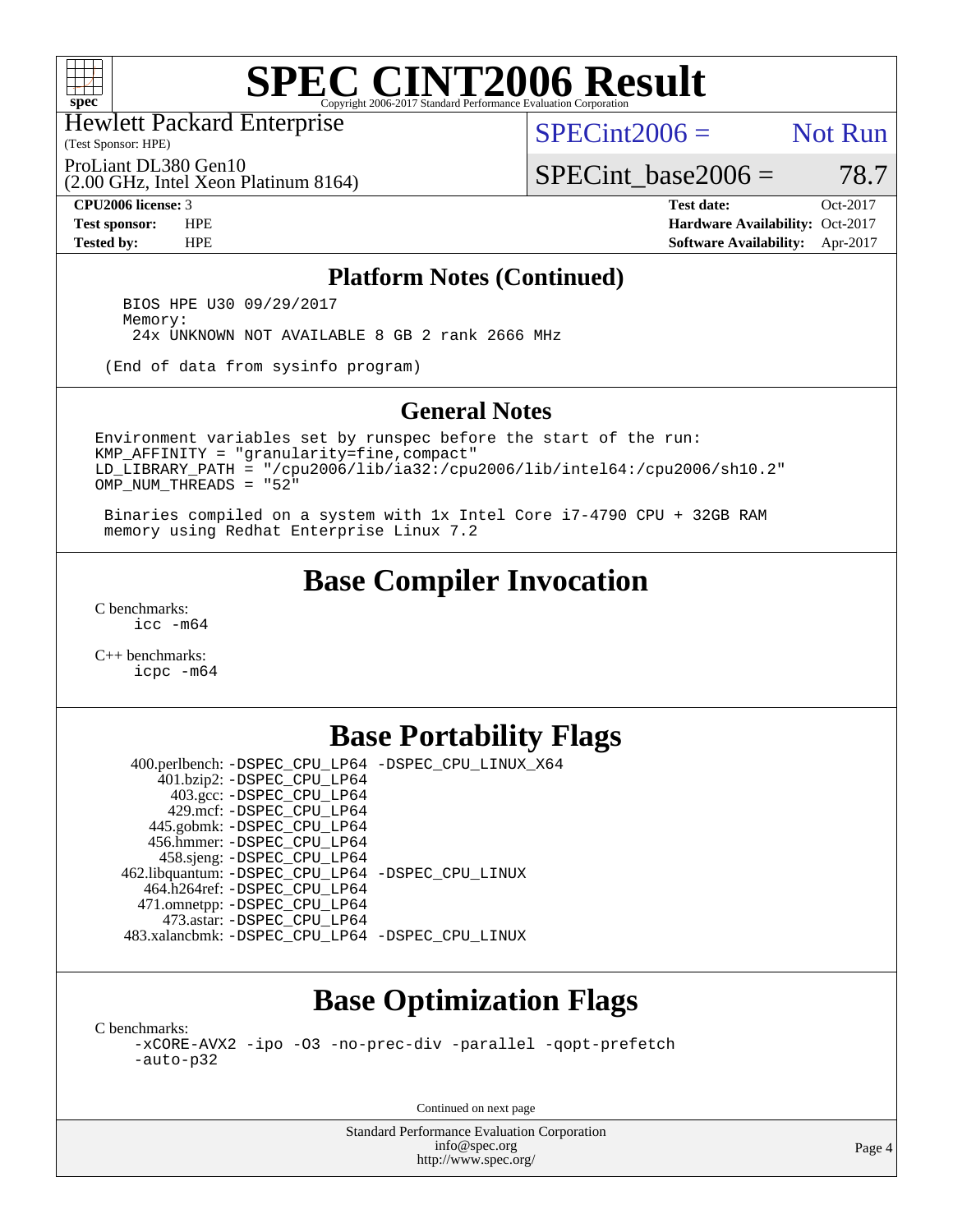

Hewlett Packard Enterprise

(Test Sponsor: HPE)

 $SPECint2006 =$  Not Run

SPECint base2006 =  $78.7$ 

(2.00 GHz, Intel Xeon Platinum 8164) ProLiant DL380 Gen10

**[Tested by:](http://www.spec.org/auto/cpu2006/Docs/result-fields.html#Testedby)** HPE **[Software Availability:](http://www.spec.org/auto/cpu2006/Docs/result-fields.html#SoftwareAvailability)** Apr-2017

**[CPU2006 license:](http://www.spec.org/auto/cpu2006/Docs/result-fields.html#CPU2006license)** 3 **[Test date:](http://www.spec.org/auto/cpu2006/Docs/result-fields.html#Testdate)** Oct-2017 **[Test sponsor:](http://www.spec.org/auto/cpu2006/Docs/result-fields.html#Testsponsor)** HPE **[Hardware Availability:](http://www.spec.org/auto/cpu2006/Docs/result-fields.html#HardwareAvailability)** Oct-2017

#### **[Platform Notes \(Continued\)](http://www.spec.org/auto/cpu2006/Docs/result-fields.html#PlatformNotes)**

 BIOS HPE U30 09/29/2017 Memory: 24x UNKNOWN NOT AVAILABLE 8 GB 2 rank 2666 MHz

(End of data from sysinfo program)

#### **[General Notes](http://www.spec.org/auto/cpu2006/Docs/result-fields.html#GeneralNotes)**

Environment variables set by runspec before the start of the run: KMP\_AFFINITY = "granularity=fine,compact" LD\_LIBRARY\_PATH = "/cpu2006/lib/ia32:/cpu2006/lib/intel64:/cpu2006/sh10.2" OMP\_NUM\_THREADS = "52"

 Binaries compiled on a system with 1x Intel Core i7-4790 CPU + 32GB RAM memory using Redhat Enterprise Linux 7.2

## **[Base Compiler Invocation](http://www.spec.org/auto/cpu2006/Docs/result-fields.html#BaseCompilerInvocation)**

[C benchmarks](http://www.spec.org/auto/cpu2006/Docs/result-fields.html#Cbenchmarks): [icc -m64](http://www.spec.org/cpu2006/results/res2017q4/cpu2006-20171017-50335.flags.html#user_CCbase_intel_icc_64bit_bda6cc9af1fdbb0edc3795bac97ada53)

[C++ benchmarks:](http://www.spec.org/auto/cpu2006/Docs/result-fields.html#CXXbenchmarks) [icpc -m64](http://www.spec.org/cpu2006/results/res2017q4/cpu2006-20171017-50335.flags.html#user_CXXbase_intel_icpc_64bit_fc66a5337ce925472a5c54ad6a0de310)

### **[Base Portability Flags](http://www.spec.org/auto/cpu2006/Docs/result-fields.html#BasePortabilityFlags)**

 400.perlbench: [-DSPEC\\_CPU\\_LP64](http://www.spec.org/cpu2006/results/res2017q4/cpu2006-20171017-50335.flags.html#b400.perlbench_basePORTABILITY_DSPEC_CPU_LP64) [-DSPEC\\_CPU\\_LINUX\\_X64](http://www.spec.org/cpu2006/results/res2017q4/cpu2006-20171017-50335.flags.html#b400.perlbench_baseCPORTABILITY_DSPEC_CPU_LINUX_X64) 401.bzip2: [-DSPEC\\_CPU\\_LP64](http://www.spec.org/cpu2006/results/res2017q4/cpu2006-20171017-50335.flags.html#suite_basePORTABILITY401_bzip2_DSPEC_CPU_LP64) 403.gcc: [-DSPEC\\_CPU\\_LP64](http://www.spec.org/cpu2006/results/res2017q4/cpu2006-20171017-50335.flags.html#suite_basePORTABILITY403_gcc_DSPEC_CPU_LP64) 429.mcf: [-DSPEC\\_CPU\\_LP64](http://www.spec.org/cpu2006/results/res2017q4/cpu2006-20171017-50335.flags.html#suite_basePORTABILITY429_mcf_DSPEC_CPU_LP64) 445.gobmk: [-DSPEC\\_CPU\\_LP64](http://www.spec.org/cpu2006/results/res2017q4/cpu2006-20171017-50335.flags.html#suite_basePORTABILITY445_gobmk_DSPEC_CPU_LP64) 456.hmmer: [-DSPEC\\_CPU\\_LP64](http://www.spec.org/cpu2006/results/res2017q4/cpu2006-20171017-50335.flags.html#suite_basePORTABILITY456_hmmer_DSPEC_CPU_LP64) 458.sjeng: [-DSPEC\\_CPU\\_LP64](http://www.spec.org/cpu2006/results/res2017q4/cpu2006-20171017-50335.flags.html#suite_basePORTABILITY458_sjeng_DSPEC_CPU_LP64) 462.libquantum: [-DSPEC\\_CPU\\_LP64](http://www.spec.org/cpu2006/results/res2017q4/cpu2006-20171017-50335.flags.html#suite_basePORTABILITY462_libquantum_DSPEC_CPU_LP64) [-DSPEC\\_CPU\\_LINUX](http://www.spec.org/cpu2006/results/res2017q4/cpu2006-20171017-50335.flags.html#b462.libquantum_baseCPORTABILITY_DSPEC_CPU_LINUX) 464.h264ref: [-DSPEC\\_CPU\\_LP64](http://www.spec.org/cpu2006/results/res2017q4/cpu2006-20171017-50335.flags.html#suite_basePORTABILITY464_h264ref_DSPEC_CPU_LP64) 471.omnetpp: [-DSPEC\\_CPU\\_LP64](http://www.spec.org/cpu2006/results/res2017q4/cpu2006-20171017-50335.flags.html#suite_basePORTABILITY471_omnetpp_DSPEC_CPU_LP64) 473.astar: [-DSPEC\\_CPU\\_LP64](http://www.spec.org/cpu2006/results/res2017q4/cpu2006-20171017-50335.flags.html#suite_basePORTABILITY473_astar_DSPEC_CPU_LP64) 483.xalancbmk: [-DSPEC\\_CPU\\_LP64](http://www.spec.org/cpu2006/results/res2017q4/cpu2006-20171017-50335.flags.html#suite_basePORTABILITY483_xalancbmk_DSPEC_CPU_LP64) [-DSPEC\\_CPU\\_LINUX](http://www.spec.org/cpu2006/results/res2017q4/cpu2006-20171017-50335.flags.html#b483.xalancbmk_baseCXXPORTABILITY_DSPEC_CPU_LINUX)

## **[Base Optimization Flags](http://www.spec.org/auto/cpu2006/Docs/result-fields.html#BaseOptimizationFlags)**

[C benchmarks](http://www.spec.org/auto/cpu2006/Docs/result-fields.html#Cbenchmarks):

[-xCORE-AVX2](http://www.spec.org/cpu2006/results/res2017q4/cpu2006-20171017-50335.flags.html#user_CCbase_f-xCORE-AVX2) [-ipo](http://www.spec.org/cpu2006/results/res2017q4/cpu2006-20171017-50335.flags.html#user_CCbase_f-ipo) [-O3](http://www.spec.org/cpu2006/results/res2017q4/cpu2006-20171017-50335.flags.html#user_CCbase_f-O3) [-no-prec-div](http://www.spec.org/cpu2006/results/res2017q4/cpu2006-20171017-50335.flags.html#user_CCbase_f-no-prec-div) [-parallel](http://www.spec.org/cpu2006/results/res2017q4/cpu2006-20171017-50335.flags.html#user_CCbase_f-parallel) [-qopt-prefetch](http://www.spec.org/cpu2006/results/res2017q4/cpu2006-20171017-50335.flags.html#user_CCbase_f-qopt-prefetch) [-auto-p32](http://www.spec.org/cpu2006/results/res2017q4/cpu2006-20171017-50335.flags.html#user_CCbase_f-auto-p32)

Continued on next page

Standard Performance Evaluation Corporation [info@spec.org](mailto:info@spec.org) <http://www.spec.org/>

Page 4